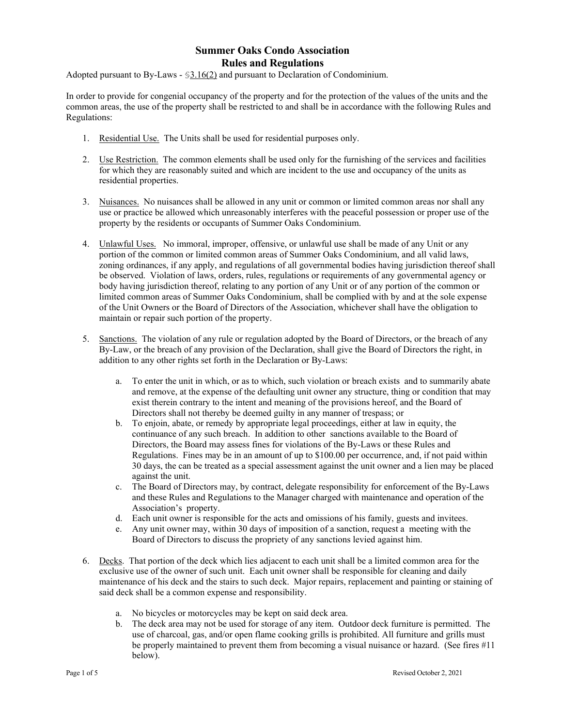Adopted pursuant to By-Laws - §3.16(2) and pursuant to Declaration of Condominium.

In order to provide for congenial occupancy of the property and for the protection of the values of the units and the common areas, the use of the property shall be restricted to and shall be in accordance with the following Rules and Regulations:

- 1. Residential Use. The Units shall be used for residential purposes only.
- 2. Use Restriction. The common elements shall be used only for the furnishing of the services and facilities for which they are reasonably suited and which are incident to the use and occupancy of the units as residential properties.
- 3. Nuisances. No nuisances shall be allowed in any unit or common or limited common areas nor shall any use or practice be allowed which unreasonably interferes with the peaceful possession or proper use of the property by the residents or occupants of Summer Oaks Condominium.
- 4. Unlawful Uses. No immoral, improper, offensive, or unlawful use shall be made of any Unit or any portion of the common or limited common areas of Summer Oaks Condominium, and all valid laws, zoning ordinances, if any apply, and regulations of all governmental bodies having jurisdiction thereof shall be observed. Violation of laws, orders, rules, regulations or requirements of any governmental agency or body having jurisdiction thereof, relating to any portion of any Unit or of any portion of the common or limited common areas of Summer Oaks Condominium, shall be complied with by and at the sole expense of the Unit Owners or the Board of Directors of the Association, whichever shall have the obligation to maintain or repair such portion of the property.
- 5. Sanctions. The violation of any rule or regulation adopted by the Board of Directors, or the breach of any By-Law, or the breach of any provision of the Declaration, shall give the Board of Directors the right, in addition to any other rights set forth in the Declaration or By-Laws:
	- a. To enter the unit in which, or as to which, such violation or breach exists and to summarily abate and remove, at the expense of the defaulting unit owner any structure, thing or condition that may exist therein contrary to the intent and meaning of the provisions hereof, and the Board of Directors shall not thereby be deemed guilty in any manner of trespass; or
	- b. To enjoin, abate, or remedy by appropriate legal proceedings, either at law in equity, the continuance of any such breach. In addition to other sanctions available to the Board of Directors, the Board may assess fines for violations of the By-Laws or these Rules and Regulations. Fines may be in an amount of up to \$100.00 per occurrence, and, if not paid within 30 days, the can be treated as a special assessment against the unit owner and a lien may be placed against the unit.
	- c. The Board of Directors may, by contract, delegate responsibility for enforcement of the By-Laws and these Rules and Regulations to the Manager charged with maintenance and operation of the Association's property.
	- d. Each unit owner is responsible for the acts and omissions of his family, guests and invitees.
	- e. Any unit owner may, within 30 days of imposition of a sanction, request a meeting with the Board of Directors to discuss the propriety of any sanctions levied against him.
- 6. Decks. That portion of the deck which lies adjacent to each unit shall be a limited common area for the exclusive use of the owner of such unit. Each unit owner shall be responsible for cleaning and daily maintenance of his deck and the stairs to such deck. Major repairs, replacement and painting or staining of said deck shall be a common expense and responsibility.
	- a. No bicycles or motorcycles may be kept on said deck area.
	- b. The deck area may not be used for storage of any item. Outdoor deck furniture is permitted. The use of charcoal, gas, and/or open flame cooking grills is prohibited. All furniture and grills must be properly maintained to prevent them from becoming a visual nuisance or hazard. (See fires #11 below).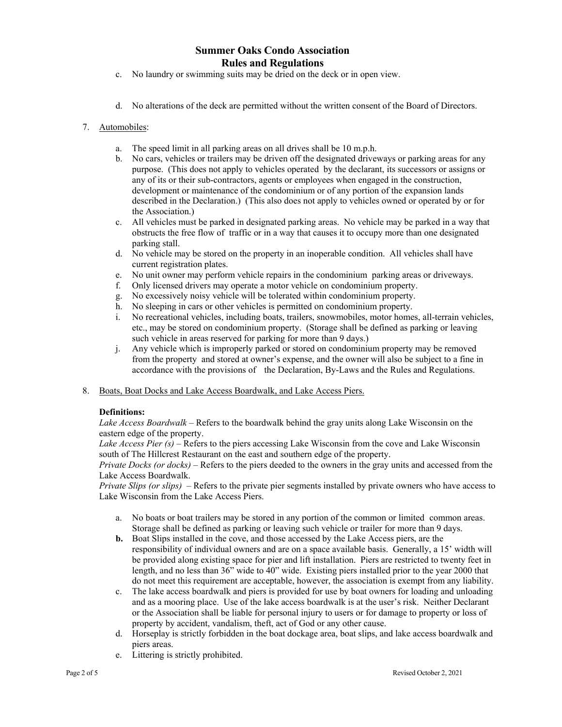- c. No laundry or swimming suits may be dried on the deck or in open view.
- d. No alterations of the deck are permitted without the written consent of the Board of Directors.

### 7. Automobiles:

- a. The speed limit in all parking areas on all drives shall be 10 m.p.h.
- b. No cars, vehicles or trailers may be driven off the designated driveways or parking areas for any purpose. (This does not apply to vehicles operated by the declarant, its successors or assigns or any of its or their sub-contractors, agents or employees when engaged in the construction, development or maintenance of the condominium or of any portion of the expansion lands described in the Declaration.) (This also does not apply to vehicles owned or operated by or for the Association.)
- c. All vehicles must be parked in designated parking areas. No vehicle may be parked in a way that obstructs the free flow of traffic or in a way that causes it to occupy more than one designated parking stall.
- d. No vehicle may be stored on the property in an inoperable condition. All vehicles shall have current registration plates.
- e. No unit owner may perform vehicle repairs in the condominium parking areas or driveways.
- f. Only licensed drivers may operate a motor vehicle on condominium property.
- g. No excessively noisy vehicle will be tolerated within condominium property.
- h. No sleeping in cars or other vehicles is permitted on condominium property.
- i. No recreational vehicles, including boats, trailers, snowmobiles, motor homes, all-terrain vehicles, etc., may be stored on condominium property. (Storage shall be defined as parking or leaving such vehicle in areas reserved for parking for more than 9 days.)
- j. Any vehicle which is improperly parked or stored on condominium property may be removed from the property and stored at owner's expense, and the owner will also be subject to a fine in accordance with the provisions of the Declaration, By-Laws and the Rules and Regulations.
- 8. Boats, Boat Docks and Lake Access Boardwalk, and Lake Access Piers.

#### **Definitions:**

*Lake Access Boardwalk* – Refers to the boardwalk behind the gray units along Lake Wisconsin on the eastern edge of the property.

*Lake Access Pier (s)* – Refers to the piers accessing Lake Wisconsin from the cove and Lake Wisconsin south of The Hillcrest Restaurant on the east and southern edge of the property.

*Private Docks (or docks)* – Refers to the piers deeded to the owners in the gray units and accessed from the Lake Access Boardwalk.

*Private Slips (or slips)* – Refers to the private pier segments installed by private owners who have access to Lake Wisconsin from the Lake Access Piers.

- a. No boats or boat trailers may be stored in any portion of the common or limited common areas. Storage shall be defined as parking or leaving such vehicle or trailer for more than 9 days.
- **b.** Boat Slips installed in the cove, and those accessed by the Lake Access piers, are the responsibility of individual owners and are on a space available basis. Generally, a 15' width will be provided along existing space for pier and lift installation. Piers are restricted to twenty feet in length, and no less than 36" wide to 40" wide. Existing piers installed prior to the year 2000 that do not meet this requirement are acceptable, however, the association is exempt from any liability.
- c. The lake access boardwalk and piers is provided for use by boat owners for loading and unloading and as a mooring place. Use of the lake access boardwalk is at the user's risk. Neither Declarant or the Association shall be liable for personal injury to users or for damage to property or loss of property by accident, vandalism, theft, act of God or any other cause.
- d. Horseplay is strictly forbidden in the boat dockage area, boat slips, and lake access boardwalk and piers areas.
- e. Littering is strictly prohibited.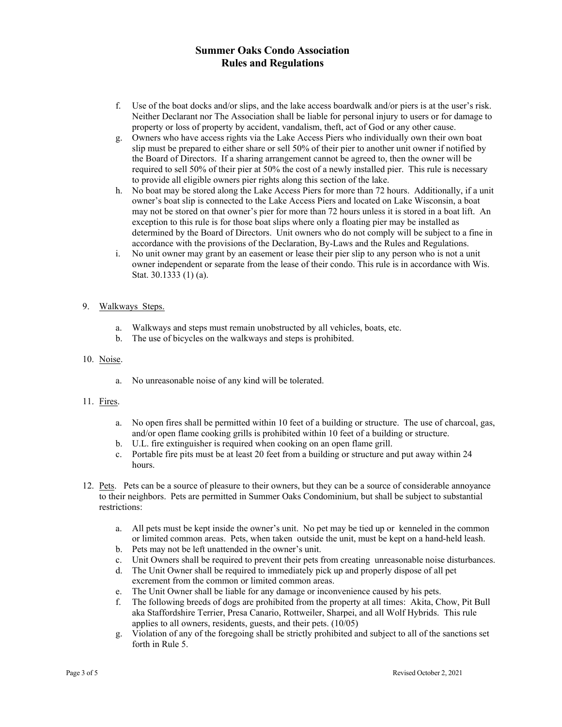- f. Use of the boat docks and/or slips, and the lake access boardwalk and/or piers is at the user's risk. Neither Declarant nor The Association shall be liable for personal injury to users or for damage to property or loss of property by accident, vandalism, theft, act of God or any other cause.
- g. Owners who have access rights via the Lake Access Piers who individually own their own boat slip must be prepared to either share or sell 50% of their pier to another unit owner if notified by the Board of Directors. If a sharing arrangement cannot be agreed to, then the owner will be required to sell 50% of their pier at 50% the cost of a newly installed pier. This rule is necessary to provide all eligible owners pier rights along this section of the lake.
- h. No boat may be stored along the Lake Access Piers for more than 72 hours. Additionally, if a unit owner's boat slip is connected to the Lake Access Piers and located on Lake Wisconsin, a boat may not be stored on that owner's pier for more than 72 hours unless it is stored in a boat lift. An exception to this rule is for those boat slips where only a floating pier may be installed as determined by the Board of Directors. Unit owners who do not comply will be subject to a fine in accordance with the provisions of the Declaration, By-Laws and the Rules and Regulations.
- i. No unit owner may grant by an easement or lease their pier slip to any person who is not a unit owner independent or separate from the lease of their condo. This rule is in accordance with Wis. Stat. 30.1333 (1) (a).

#### 9. Walkways Steps.

- a. Walkways and steps must remain unobstructed by all vehicles, boats, etc.
- b. The use of bicycles on the walkways and steps is prohibited.

#### 10. Noise.

a. No unreasonable noise of any kind will be tolerated.

#### 11. Fires.

- a. No open fires shall be permitted within 10 feet of a building or structure. The use of charcoal, gas, and/or open flame cooking grills is prohibited within 10 feet of a building or structure.
- b. U.L. fire extinguisher is required when cooking on an open flame grill.
- c. Portable fire pits must be at least 20 feet from a building or structure and put away within 24 hours.
- 12. Pets. Pets can be a source of pleasure to their owners, but they can be a source of considerable annoyance to their neighbors. Pets are permitted in Summer Oaks Condominium, but shall be subject to substantial restrictions:
	- a. All pets must be kept inside the owner's unit. No pet may be tied up or kenneled in the common or limited common areas. Pets, when taken outside the unit, must be kept on a hand-held leash.
	- b. Pets may not be left unattended in the owner's unit.
	- c. Unit Owners shall be required to prevent their pets from creating unreasonable noise disturbances.
	- d. The Unit Owner shall be required to immediately pick up and properly dispose of all pet excrement from the common or limited common areas.
	- e. The Unit Owner shall be liable for any damage or inconvenience caused by his pets.
	- f. The following breeds of dogs are prohibited from the property at all times: Akita, Chow, Pit Bull aka Staffordshire Terrier, Presa Canario, Rottweiler, Sharpei, and all Wolf Hybrids. This rule applies to all owners, residents, guests, and their pets. (10/05)
	- g. Violation of any of the foregoing shall be strictly prohibited and subject to all of the sanctions set forth in Rule 5.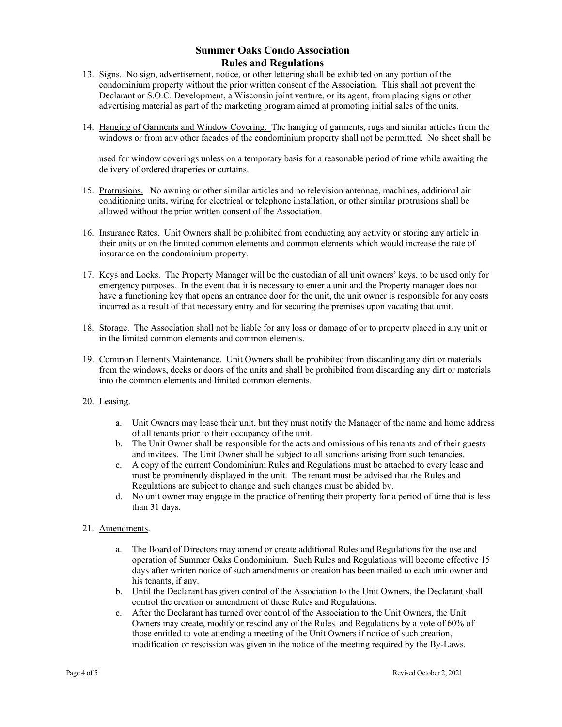- 13. Signs. No sign, advertisement, notice, or other lettering shall be exhibited on any portion of the condominium property without the prior written consent of the Association. This shall not prevent the Declarant or S.O.C. Development, a Wisconsin joint venture, or its agent, from placing signs or other advertising material as part of the marketing program aimed at promoting initial sales of the units.
- 14. Hanging of Garments and Window Covering. The hanging of garments, rugs and similar articles from the windows or from any other facades of the condominium property shall not be permitted. No sheet shall be

used for window coverings unless on a temporary basis for a reasonable period of time while awaiting the delivery of ordered draperies or curtains.

- 15. Protrusions. No awning or other similar articles and no television antennae, machines, additional air conditioning units, wiring for electrical or telephone installation, or other similar protrusions shall be allowed without the prior written consent of the Association.
- 16. Insurance Rates. Unit Owners shall be prohibited from conducting any activity or storing any article in their units or on the limited common elements and common elements which would increase the rate of insurance on the condominium property.
- 17. Keys and Locks. The Property Manager will be the custodian of all unit owners' keys, to be used only for emergency purposes. In the event that it is necessary to enter a unit and the Property manager does not have a functioning key that opens an entrance door for the unit, the unit owner is responsible for any costs incurred as a result of that necessary entry and for securing the premises upon vacating that unit.
- 18. Storage. The Association shall not be liable for any loss or damage of or to property placed in any unit or in the limited common elements and common elements.
- 19. Common Elements Maintenance. Unit Owners shall be prohibited from discarding any dirt or materials from the windows, decks or doors of the units and shall be prohibited from discarding any dirt or materials into the common elements and limited common elements.
- 20. Leasing.
	- a. Unit Owners may lease their unit, but they must notify the Manager of the name and home address of all tenants prior to their occupancy of the unit.
	- b. The Unit Owner shall be responsible for the acts and omissions of his tenants and of their guests and invitees. The Unit Owner shall be subject to all sanctions arising from such tenancies.
	- c. A copy of the current Condominium Rules and Regulations must be attached to every lease and must be prominently displayed in the unit. The tenant must be advised that the Rules and Regulations are subject to change and such changes must be abided by.
	- d. No unit owner may engage in the practice of renting their property for a period of time that is less than 31 days.

### 21. Amendments.

- a. The Board of Directors may amend or create additional Rules and Regulations for the use and operation of Summer Oaks Condominium. Such Rules and Regulations will become effective 15 days after written notice of such amendments or creation has been mailed to each unit owner and his tenants, if any.
- b. Until the Declarant has given control of the Association to the Unit Owners, the Declarant shall control the creation or amendment of these Rules and Regulations.
- c. After the Declarant has turned over control of the Association to the Unit Owners, the Unit Owners may create, modify or rescind any of the Rules and Regulations by a vote of 60% of those entitled to vote attending a meeting of the Unit Owners if notice of such creation, modification or rescission was given in the notice of the meeting required by the By-Laws.